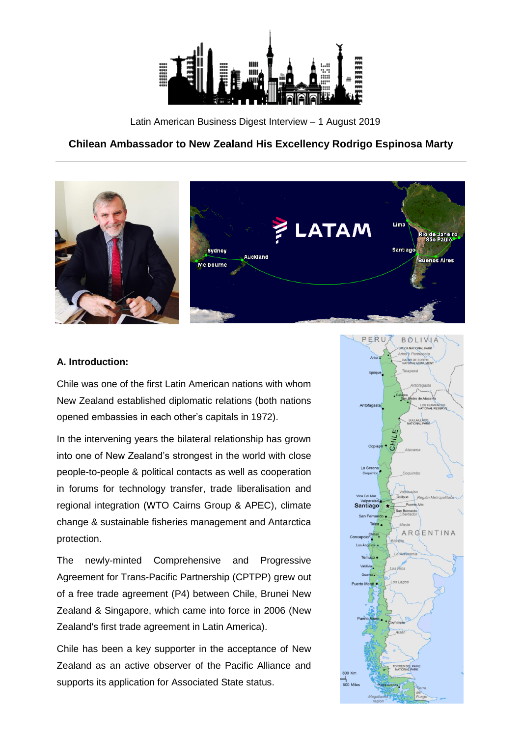

Latin American Business Digest Interview – 1 August 2019

# **Chilean Ambassador to New Zealand His Excellency Rodrigo Espinosa Marty**



#### **A. Introduction:**

Chile was one of the first Latin American nations with whom New Zealand established diplomatic relations (both nations opened embassies in each other's capitals in 1972).

In the intervening years the bilateral relationship has grown into one of New Zealand's strongest in the world with close people-to-people & political contacts as well as cooperation in forums for technology transfer, trade liberalisation and regional integration (WTO Cairns Group & APEC), climate change & sustainable fisheries management and Antarctica protection.

The newly-minted Comprehensive and Progressive Agreement for Trans-Pacific Partnership (CPTPP) grew out of a free trade agreement (P4) between Chile, Brunei New Zealand & Singapore, which came into force in 2006 (New Zealand's first trade agreement in Latin America).

Chile has been a key supporter in the acceptance of New Zealand as an active observer of the Pacific Alliance and supports its application for Associated State status.

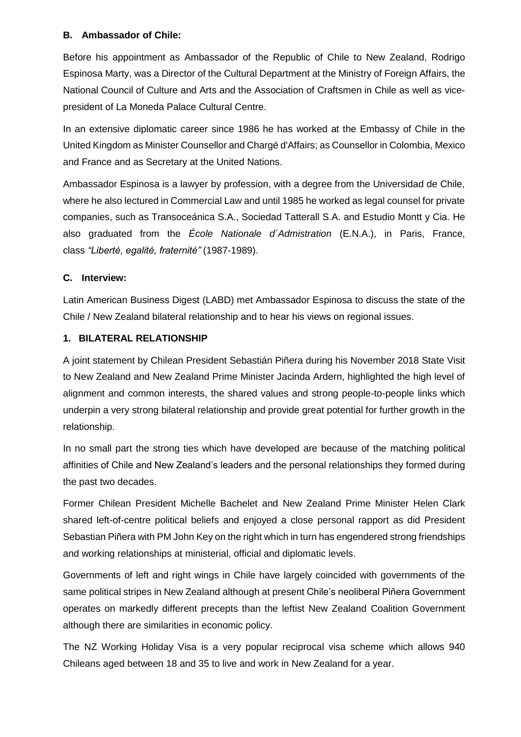## **B. Ambassador of Chile:**

Before his appointment as Ambassador of the Republic of Chile to New Zealand, Rodrigo Espinosa Marty, was a Director of the Cultural Department at the Ministry of Foreign Affairs, the National Council of Culture and Arts and the Association of Craftsmen in Chile as well as vicepresident of La Moneda Palace Cultural Centre.

In an extensive diplomatic career since 1986 he has worked at the Embassy of Chile in the United Kingdom as Minister Counsellor and Chargé d'Affairs; as Counsellor in Colombia, Mexico and France and as Secretary at the United Nations.

Ambassador Espinosa is a lawyer by profession, with a degree from the Universidad de Chile, where he also lectured in Commercial Law and until 1985 he worked as legal counsel for private companies, such as Transoceánica S.A., Sociedad Tatterall S.A. and Estudio Montt y Cia. He also graduated from the *École Nationale d´Admistration* (E.N.A.), in Paris, France, class *"Liberté, egalité, fraternité"* (1987-1989).

### **C. Interview:**

Latin American Business Digest (LABD) met Ambassador Espinosa to discuss the state of the Chile / New Zealand bilateral relationship and to hear his views on regional issues.

### **1. BILATERAL RELATIONSHIP**

A joint statement by Chilean President Sebastián Piñera during his November 2018 State Visit to New Zealand and New Zealand Prime Minister Jacinda Ardern, highlighted the high level of alignment and common interests, the shared values and strong people-to-people links which underpin a very strong bilateral relationship and provide great potential for further growth in the relationship.

In no small part the strong ties which have developed are because of the matching political affinities of Chile and New Zealand's leaders and the personal relationships they formed during the past two decades.

Former Chilean President Michelle Bachelet and New Zealand Prime Minister Helen Clark shared left-of-centre political beliefs and enjoyed a close personal rapport as did President Sebastian Piñera with PM John Key on the right which in turn has engendered strong friendships and working relationships at ministerial, official and diplomatic levels.

Governments of left and right wings in Chile have largely coincided with governments of the same political stripes in New Zealand although at present Chile's neoliberal Piñera Government operates on markedly different precepts than the leftist New Zealand Coalition Government although there are similarities in economic policy.

The NZ Working Holiday Visa is a very popular reciprocal visa scheme which allows 940 Chileans aged between 18 and 35 to live and work in New Zealand for a year.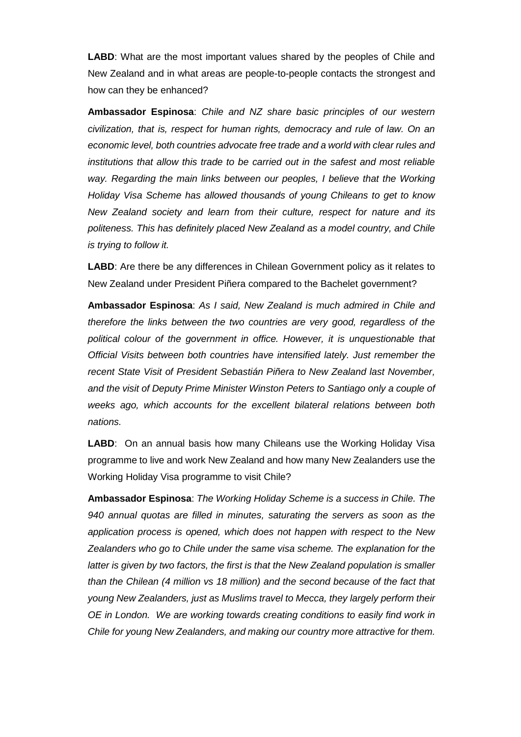**LABD**: What are the most important values shared by the peoples of Chile and New Zealand and in what areas are people-to-people contacts the strongest and how can they be enhanced?

**Ambassador Espinosa**: *Chile and NZ share basic principles of our western civilization, that is, respect for human rights, democracy and rule of law. On an economic level, both countries advocate free trade and a world with clear rules and institutions that allow this trade to be carried out in the safest and most reliable* way. Regarding the main links between our peoples, I believe that the Working *Holiday Visa Scheme has allowed thousands of young Chileans to get to know New Zealand society and learn from their culture, respect for nature and its politeness. This has definitely placed New Zealand as a model country, and Chile is trying to follow it.* 

**LABD**: Are there be any differences in Chilean Government policy as it relates to New Zealand under President Piñera compared to the Bachelet government?

**Ambassador Espinosa**: *As I said, New Zealand is much admired in Chile and therefore the links between the two countries are very good, regardless of the political colour of the government in office. However, it is unquestionable that Official Visits between both countries have intensified lately. Just remember the recent State Visit of President Sebastián Piñera to New Zealand last November, and the visit of Deputy Prime Minister Winston Peters to Santiago only a couple of weeks ago, which accounts for the excellent bilateral relations between both nations.* 

**LABD**: On an annual basis how many Chileans use the Working Holiday Visa programme to live and work New Zealand and how many New Zealanders use the Working Holiday Visa programme to visit Chile?

**Ambassador Espinosa**: *The Working Holiday Scheme is a success in Chile. The 940 annual quotas are filled in minutes, saturating the servers as soon as the application process is opened, which does not happen with respect to the New Zealanders who go to Chile under the same visa scheme. The explanation for the latter is given by two factors, the first is that the New Zealand population is smaller than the Chilean (4 million vs 18 million) and the second because of the fact that young New Zealanders, just as Muslims travel to Mecca, they largely perform their OE in London. We are working towards creating conditions to easily find work in Chile for young New Zealanders, and making our country more attractive for them.*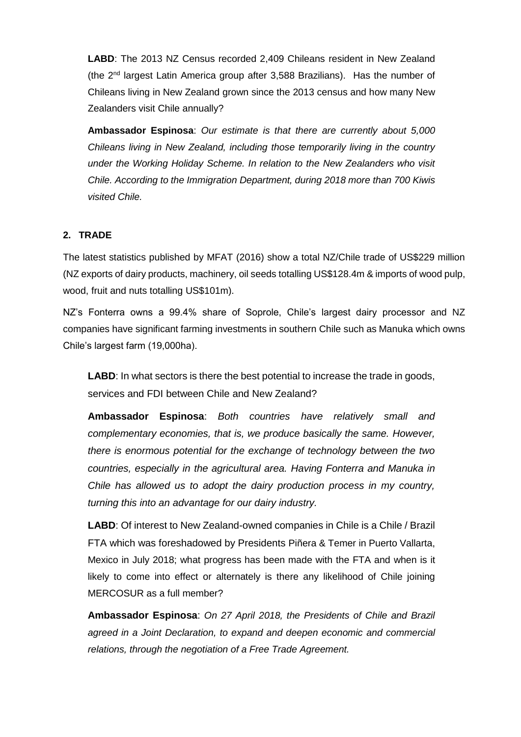**LABD**: The 2013 NZ Census recorded 2,409 Chileans resident in New Zealand (the 2nd largest Latin America group after 3,588 Brazilians). Has the number of Chileans living in New Zealand grown since the 2013 census and how many New Zealanders visit Chile annually?

**Ambassador Espinosa**: *Our estimate is that there are currently about 5,000 Chileans living in New Zealand, including those temporarily living in the country under the Working Holiday Scheme. In relation to the New Zealanders who visit Chile. According to the Immigration Department, during 2018 more than 700 Kiwis visited Chile.*

## **2. TRADE**

The latest statistics published by MFAT (2016) show a total NZ/Chile trade of US\$229 million (NZ exports of dairy products, machinery, oil seeds totalling US\$128.4m & imports of wood pulp, wood, fruit and nuts totalling US\$101m).

NZ's Fonterra owns a 99.4% share of Soprole, Chile's largest dairy processor and NZ companies have significant farming investments in southern Chile such as Manuka which owns Chile's largest farm (19,000ha).

**LABD**: In what sectors is there the best potential to increase the trade in goods, services and FDI between Chile and New Zealand?

**Ambassador Espinosa**: *Both countries have relatively small and complementary economies, that is, we produce basically the same. However, there is enormous potential for the exchange of technology between the two countries, especially in the agricultural area. Having Fonterra and Manuka in Chile has allowed us to adopt the dairy production process in my country, turning this into an advantage for our dairy industry.*

**LABD**: Of interest to New Zealand-owned companies in Chile is a Chile / Brazil FTA which was foreshadowed by Presidents Piñera & Temer in Puerto Vallarta, Mexico in July 2018; what progress has been made with the FTA and when is it likely to come into effect or alternately is there any likelihood of Chile joining MERCOSUR as a full member?

**Ambassador Espinosa**: *On 27 April 2018, the Presidents of Chile and Brazil agreed in a Joint Declaration, to expand and deepen economic and commercial relations, through the negotiation of a Free Trade Agreement.*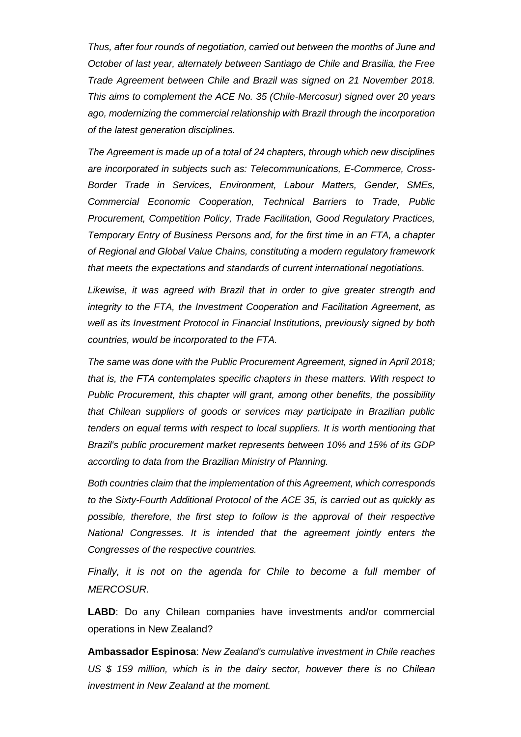*Thus, after four rounds of negotiation, carried out between the months of June and October of last year, alternately between Santiago de Chile and Brasilia, the Free Trade Agreement between Chile and Brazil was signed on 21 November 2018. This aims to complement the ACE No. 35 (Chile-Mercosur) signed over 20 years ago, modernizing the commercial relationship with Brazil through the incorporation of the latest generation disciplines.*

*The Agreement is made up of a total of 24 chapters, through which new disciplines are incorporated in subjects such as: Telecommunications, E-Commerce, Cross-Border Trade in Services, Environment, Labour Matters, Gender, SMEs, Commercial Economic Cooperation, Technical Barriers to Trade, Public Procurement, Competition Policy, Trade Facilitation, Good Regulatory Practices, Temporary Entry of Business Persons and, for the first time in an FTA, a chapter of Regional and Global Value Chains, constituting a modern regulatory framework that meets the expectations and standards of current international negotiations.*

Likewise, it was agreed with Brazil that in order to give greater strength and *integrity to the FTA, the Investment Cooperation and Facilitation Agreement, as well as its Investment Protocol in Financial Institutions, previously signed by both countries, would be incorporated to the FTA.* 

*The same was done with the Public Procurement Agreement, signed in April 2018; that is, the FTA contemplates specific chapters in these matters. With respect to Public Procurement, this chapter will grant, among other benefits, the possibility that Chilean suppliers of goods or services may participate in Brazilian public tenders on equal terms with respect to local suppliers. It is worth mentioning that Brazil's public procurement market represents between 10% and 15% of its GDP according to data from the Brazilian Ministry of Planning.*

*Both countries claim that the implementation of this Agreement, which corresponds to the Sixty-Fourth Additional Protocol of the ACE 35, is carried out as quickly as possible, therefore, the first step to follow is the approval of their respective National Congresses. It is intended that the agreement jointly enters the Congresses of the respective countries.*

*Finally, it is not on the agenda for Chile to become a full member of MERCOSUR.*

**LABD**: Do any Chilean companies have investments and/or commercial operations in New Zealand?

**Ambassador Espinosa**: *New Zealand's cumulative investment in Chile reaches US \$ 159 million, which is in the dairy sector, however there is no Chilean investment in New Zealand at the moment.*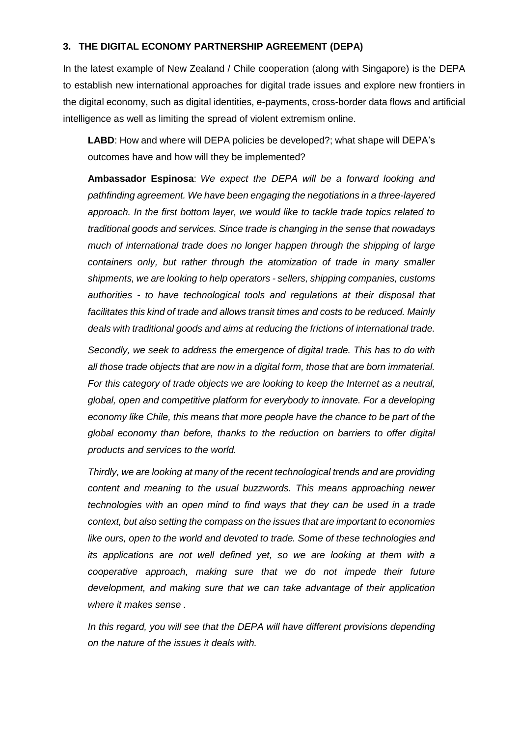#### **3. THE DIGITAL ECONOMY PARTNERSHIP AGREEMENT (DEPA)**

In the latest example of New Zealand / Chile cooperation (along with Singapore) is the DEPA to establish new international approaches for digital trade issues and explore new frontiers in the digital economy, such as digital identities, e-payments, cross-border data flows and artificial intelligence as well as limiting the spread of violent extremism online.

**LABD**: How and where will DEPA policies be developed?; what shape will DEPA's outcomes have and how will they be implemented?

**Ambassador Espinosa**: *We expect the DEPA will be a forward looking and pathfinding agreement. We have been engaging the negotiations in a three-layered approach. In the first bottom layer, we would like to tackle trade topics related to traditional goods and services. Since trade is changing in the sense that nowadays much of international trade does no longer happen through the shipping of large containers only, but rather through the atomization of trade in many smaller shipments, we are looking to help operators - sellers, shipping companies, customs authorities - to have technological tools and regulations at their disposal that facilitates this kind of trade and allows transit times and costs to be reduced. Mainly deals with traditional goods and aims at reducing the frictions of international trade.*

*Secondly, we seek to address the emergence of digital trade. This has to do with all those trade objects that are now in a digital form, those that are born immaterial. For this category of trade objects we are looking to keep the Internet as a neutral, global, open and competitive platform for everybody to innovate. For a developing economy like Chile, this means that more people have the chance to be part of the global economy than before, thanks to the reduction on barriers to offer digital products and services to the world.*

*Thirdly, we are looking at many of the recent technological trends and are providing content and meaning to the usual buzzwords. This means approaching newer technologies with an open mind to find ways that they can be used in a trade context, but also setting the compass on the issues that are important to economies like ours, open to the world and devoted to trade. Some of these technologies and its applications are not well defined yet, so we are looking at them with a cooperative approach, making sure that we do not impede their future development, and making sure that we can take advantage of their application where it makes sense .*

In this regard, you will see that the DEPA will have different provisions depending *on the nature of the issues it deals with.*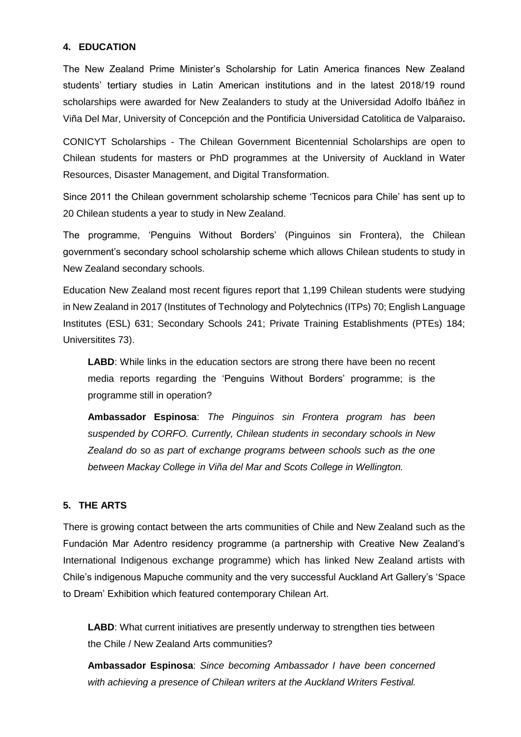### **4. EDUCATION**

The New Zealand Prime Minister's Scholarship for Latin America finances New Zealand students' tertiary studies in Latin American institutions and in the latest 2018/19 round scholarships were awarded for New Zealanders to study at the Universidad Adolfo Ibáñez in Viña Del Mar, University of Concepción and the Pontificia Universidad Catolitica de Valparaiso**.**

CONICYT Scholarships - The Chilean Government Bicentennial Scholarships are open to Chilean students for masters or PhD programmes at the University of Auckland in Water Resources, Disaster Management, and Digital Transformation.

Since 2011 the Chilean government scholarship scheme 'Tecnicos para Chile' has sent up to 20 Chilean students a year to study in New Zealand.

The programme, 'Penguins Without Borders' (Pinguinos sin Frontera), the Chilean government's secondary school scholarship scheme which allows Chilean students to study in New Zealand secondary schools.

Education New Zealand most recent figures report that 1,199 Chilean students were studying in New Zealand in 2017 (Institutes of Technology and Polytechnics (ITPs) 70; English Language Institutes (ESL) 631; Secondary Schools 241; Private Training Establishments (PTEs) 184; Universitites 73).

**LABD:** While links in the education sectors are strong there have been no recent media reports regarding the 'Penguins Without Borders' programme; is the programme still in operation?

**Ambassador Espinosa**: *The Pinguinos sin Frontera program has been suspended by CORFO. Currently, Chilean students in secondary schools in New Zealand do so as part of exchange programs between schools such as the one between Mackay College in Viña del Mar and Scots College in Wellington.*

#### **5. THE ARTS**

There is growing contact between the arts communities of Chile and New Zealand such as the Fundación Mar Adentro residency programme (a partnership with Creative New Zealand's International Indigenous exchange programme) which has linked New Zealand artists with Chile's indigenous Mapuche community and the very successful Auckland Art Gallery's 'Space to Dream' Exhibition which featured contemporary Chilean Art.

**LABD**: What current initiatives are presently underway to strengthen ties between the Chile / New Zealand Arts communities?

**Ambassador Espinosa**: *Since becoming Ambassador I have been concerned with achieving a presence of Chilean writers at the Auckland Writers Festival.*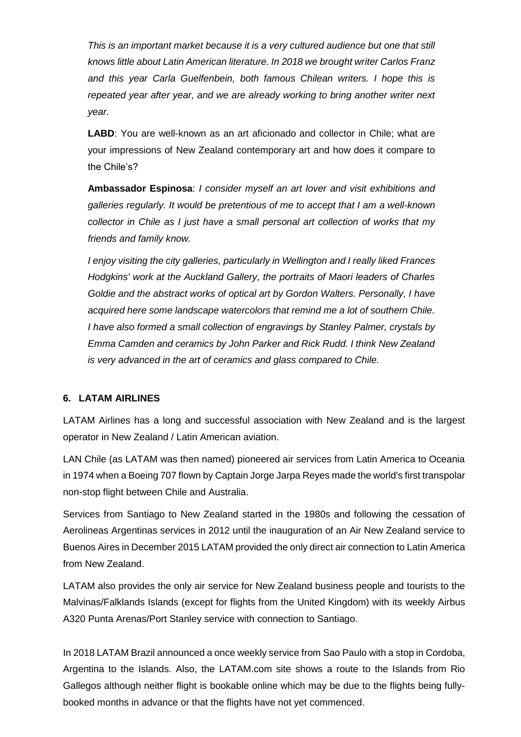*This is an important market because it is a very cultured audience but one that still knows little about Latin American literature. In 2018 we brought writer Carlos Franz and this year Carla Guelfenbein, both famous Chilean writers. I hope this is repeated year after year, and we are already working to bring another writer next year.*

**LABD**: You are well-known as an art aficionado and collector in Chile; what are your impressions of New Zealand contemporary art and how does it compare to the Chile's?

**Ambassador Espinosa**: *I consider myself an art lover and visit exhibitions and galleries regularly. It would be pretentious of me to accept that I am a well-known collector in Chile as I just have a small personal art collection of works that my friends and family know.*

*I enjoy visiting the city galleries, particularly in Wellington and I really liked Frances Hodgkins' work at the Auckland Gallery, the portraits of Maori leaders of Charles Goldie and the abstract works of optical art by Gordon Walters. Personally, I have acquired here some landscape watercolors that remind me a lot of southern Chile. I have also formed a small collection of engravings by Stanley Palmer, crystals by Emma Camden and ceramics by John Parker and Rick Rudd. I think New Zealand is very advanced in the art of ceramics and glass compared to Chile.*

#### **6. LATAM AIRLINES**

LATAM Airlines has a long and successful association with New Zealand and is the largest operator in New Zealand / Latin American aviation.

LAN Chile (as LATAM was then named) pioneered air services from Latin America to Oceania in 1974 when a Boeing 707 flown by Captain Jorge Jarpa Reyes made the world's first transpolar non-stop flight between Chile and Australia.

Services from Santiago to New Zealand started in the 1980s and following the cessation of Aerolineas Argentinas services in 2012 until the inauguration of an Air New Zealand service to Buenos Aires in December 2015 LATAM provided the only direct air connection to Latin America from New Zealand.

LATAM also provides the only air service for New Zealand business people and tourists to the Malvinas/Falklands Islands (except for flights from the United Kingdom) with its weekly Airbus A320 Punta Arenas/Port Stanley service with connection to Santiago.

In 2018 LATAM Brazil announced a once weekly service from Sao Paulo with a stop in Cordoba, Argentina to the Islands. Also, the LATAM.com site shows a route to the Islands from Rio Gallegos although neither flight is bookable online which may be due to the flights being fullybooked months in advance or that the flights have not yet commenced.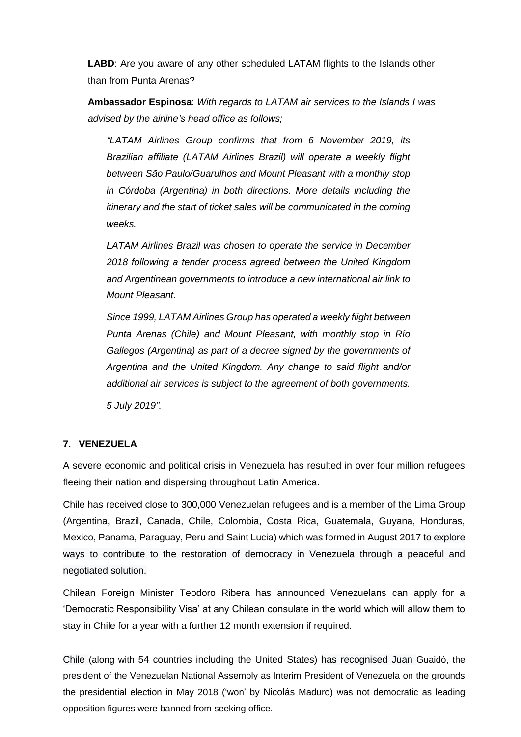**LABD**: Are you aware of any other scheduled LATAM flights to the Islands other than from Punta Arenas?

**Ambassador Espinosa**: *With regards to LATAM air services to the Islands I was advised by the airline's head office as follows;*

*"LATAM Airlines Group confirms that from 6 November 2019, its Brazilian affiliate (LATAM Airlines Brazil) will operate a weekly flight between São Paulo/Guarulhos and Mount Pleasant with a monthly stop in Córdoba (Argentina) in both directions. More details including the itinerary and the start of ticket sales will be communicated in the coming weeks.*

*LATAM Airlines Brazil was chosen to operate the service in December 2018 following a tender process agreed between the United Kingdom and Argentinean governments to introduce a new international air link to Mount Pleasant.*

*Since 1999, LATAM Airlines Group has operated a weekly flight between Punta Arenas (Chile) and Mount Pleasant, with monthly stop in Río Gallegos (Argentina) as part of a decree signed by the governments of Argentina and the United Kingdom. Any change to said flight and/or additional air services is subject to the agreement of both governments. 5 July 2019".*

## **7. VENEZUELA**

A severe economic and political crisis in Venezuela has resulted in over four million refugees fleeing their nation and dispersing throughout Latin America.

Chile has received close to 300,000 Venezuelan refugees and is a member of the Lima Group (Argentina, Brazil, Canada, Chile, Colombia, Costa Rica, Guatemala, Guyana, Honduras, Mexico, Panama, Paraguay, Peru and Saint Lucia) which was formed in August 2017 to explore ways to contribute to the restoration of democracy in Venezuela through a peaceful and negotiated solution.

Chilean Foreign Minister Teodoro Ribera has announced Venezuelans can apply for a 'Democratic Responsibility Visa' at any Chilean consulate in the world which will allow them to stay in Chile for a year with a further 12 month extension if required.

Chile (along with 54 countries including the United States) has recognised Juan Guaidó, the president of the Venezuelan National Assembly as Interim President of Venezuela on the grounds the presidential election in May 2018 ('won' by Nicolás Maduro) was not democratic as leading opposition figures were banned from seeking office.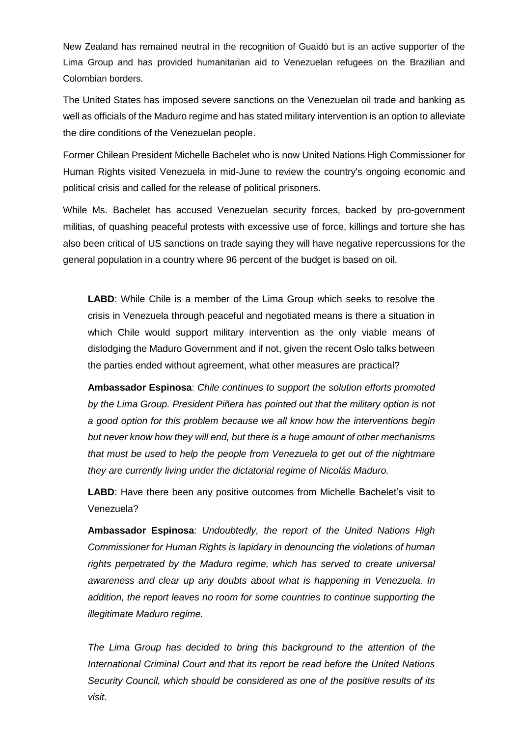New Zealand has remained neutral in the recognition of Guaidó but is an active supporter of the Lima Group and has provided humanitarian aid to Venezuelan refugees on the Brazilian and Colombian borders.

The United States has imposed severe sanctions on the Venezuelan oil trade and banking as well as officials of the Maduro regime and has stated military intervention is an option to alleviate the dire conditions of the Venezuelan people.

Former Chilean President Michelle Bachelet who is now United Nations High Commissioner for Human Rights visited Venezuela in mid-June to review the country's ongoing economic and political crisis and called for the release of political prisoners.

While Ms. Bachelet has accused Venezuelan security forces, backed by pro-government militias, of quashing peaceful protests with excessive use of force, killings and torture she has also been critical of US sanctions on trade saying they will have negative repercussions for the general population in a country where 96 percent of the budget is based on oil.

**LABD**: While Chile is a member of the Lima Group which seeks to resolve the crisis in Venezuela through peaceful and negotiated means is there a situation in which Chile would support military intervention as the only viable means of dislodging the Maduro Government and if not, given the recent Oslo talks between the parties ended without agreement, what other measures are practical?

**Ambassador Espinosa**: *Chile continues to support the solution efforts promoted by the Lima Group. President Piñera has pointed out that the military option is not a good option for this problem because we all know how the interventions begin but never know how they will end, but there is a huge amount of other mechanisms that must be used to help the people from Venezuela to get out of the nightmare they are currently living under the dictatorial regime of Nicolás Maduro.*

**LABD**: Have there been any positive outcomes from Michelle Bachelet's visit to Venezuela?

**Ambassador Espinosa**: *Undoubtedly, the report of the United Nations High Commissioner for Human Rights is lapidary in denouncing the violations of human*  rights perpetrated by the Maduro regime, which has served to create universal *awareness and clear up any doubts about what is happening in Venezuela. In addition, the report leaves no room for some countries to continue supporting the illegitimate Maduro regime.*

*The Lima Group has decided to bring this background to the attention of the International Criminal Court and that its report be read before the United Nations Security Council, which should be considered as one of the positive results of its visit.*